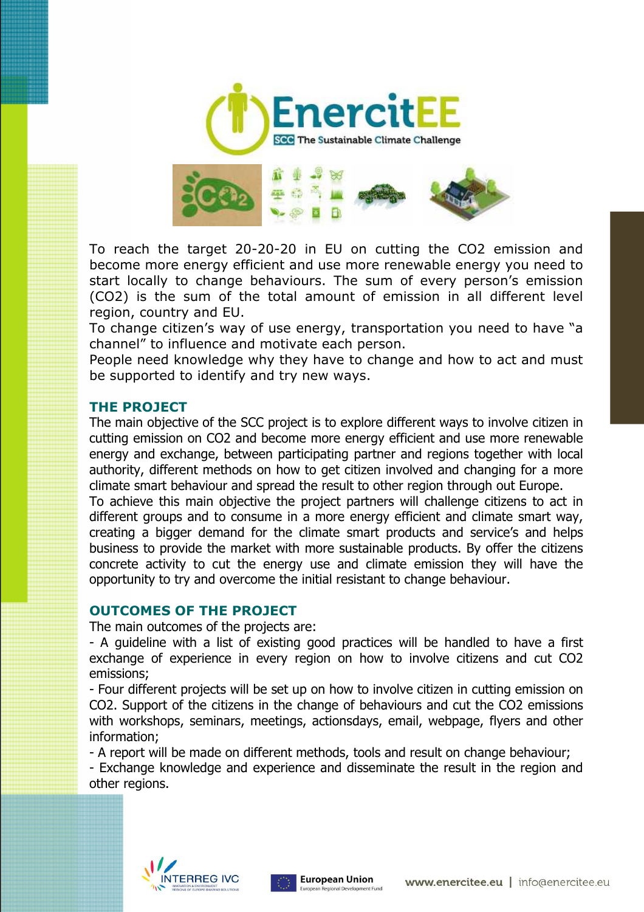



To reach the target 20-20-20 in EU on cutting the CO2 emission and become more energy efficient and use more renewable energy you need to start locally to change behaviours. The sum of every person's emission (CO2) is the sum of the total amount of emission in all different level region, country and EU.

To change citizen's way of use energy, transportation you need to have "a channel" to influence and motivate each person.

People need knowledge why they have to change and how to act and must be supported to identify and try new ways.

## **THE PROJECT**

The main objective of the SCC project is to explore different ways to involve citizen in cutting emission on CO2 and become more energy efficient and use more renewable energy and exchange, between participating partner and regions together with local authority, different methods on how to get citizen involved and changing for a more climate smart behaviour and spread the result to other region through out Europe.

To achieve this main objective the project partners will challenge citizens to act in different groups and to consume in a more energy efficient and climate smart way, creating a bigger demand for the climate smart products and service's and helps business to provide the market with more sustainable products. By offer the citizens concrete activity to cut the energy use and climate emission they will have the opportunity to try and overcome the initial resistant to change behaviour.

## **OUTCOMES OF THE PROJECT**

The main outcomes of the projects are:

- A guideline with a list of existing good practices will be handled to have a first exchange of experience in every region on how to involve citizens and cut CO2 emissions;

- Four different projects will be set up on how to involve citizen in cutting emission on CO2. Support of the citizens in the change of behaviours and cut the CO2 emissions with workshops, seminars, meetings, actionsdays, email, webpage, flyers and other information;

- A report will be made on different methods, tools and result on change behaviour;

- Exchange knowledge and experience and disseminate the result in the region and other regions.



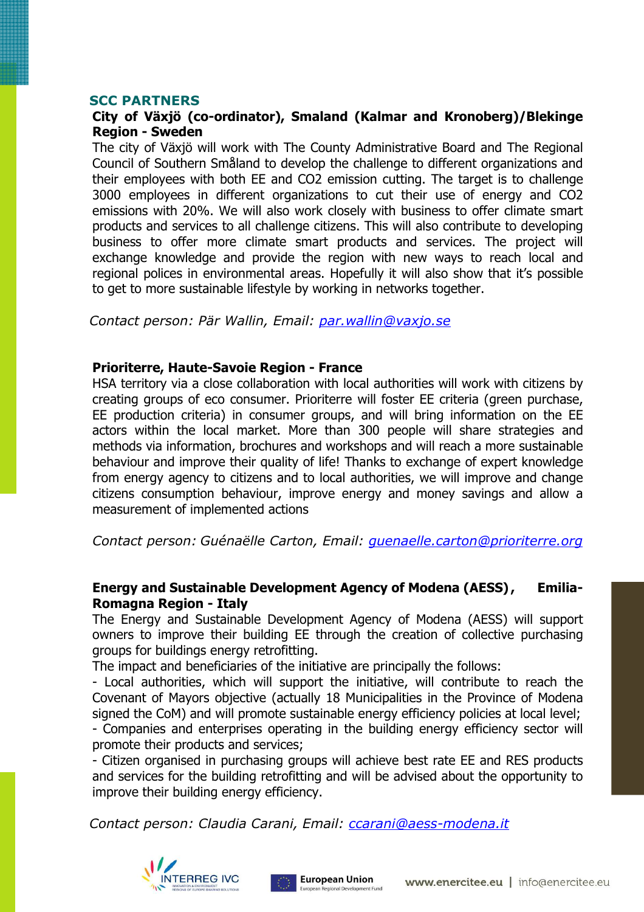#### **SCC PARTNERS**

#### **City of Växjö (co-ordinator), Smaland (Kalmar and Kronoberg)/Blekinge Region - Sweden**

The city of Växjö will work with The County Administrative Board and The Regional Council of Southern Småland to develop the challenge to different organizations and their employees with both EE and CO2 emission cutting. The target is to challenge 3000 employees in different organizations to cut their use of energy and CO2 emissions with 20%. We will also work closely with business to offer climate smart products and services to all challenge citizens. This will also contribute to developing business to offer more climate smart products and services. The project will exchange knowledge and provide the region with new ways to reach local and regional polices in environmental areas. Hopefully it will also show that it's possible to get to more sustainable lifestyle by working in networks together.

*Contact person: Pär Wallin, Email: par.wallin@vaxjo.se*

#### **Prioriterre, Haute-Savoie Region - France**

HSA territory via a close collaboration with local authorities will work with citizens by creating groups of eco consumer. Prioriterre will foster EE criteria (green purchase, EE production criteria) in consumer groups, and will bring information on the EE actors within the local market. More than 300 people will share strategies and methods via information, brochures and workshops and will reach a more sustainable behaviour and improve their quality of life! Thanks to exchange of expert knowledge from energy agency to citizens and to local authorities, we will improve and change citizens consumption behaviour, improve energy and money savings and allow a measurement of implemented actions

*Contact person: Guénaëlle Carton, Email: guenaelle.carton@prioriterre.org* 

#### **Energy and Sustainable Development Agency of Modena (AESS) , Emilia-Romagna Region - Italy**

The Energy and Sustainable Development Agency of Modena (AESS) will support owners to improve their building EE through the creation of collective purchasing groups for buildings energy retrofitting.

The impact and beneficiaries of the initiative are principally the follows:

- Local authorities, which will support the initiative, will contribute to reach the Covenant of Mayors objective (actually 18 Municipalities in the Province of Modena signed the CoM) and will promote sustainable energy efficiency policies at local level; - Companies and enterprises operating in the building energy efficiency sector will promote their products and services;

- Citizen organised in purchasing groups will achieve best rate EE and RES products and services for the building retrofitting and will be advised about the opportunity to improve their building energy efficiency.

*Contact person: Claudia Carani, Email: ccarani@aess-modena.it*